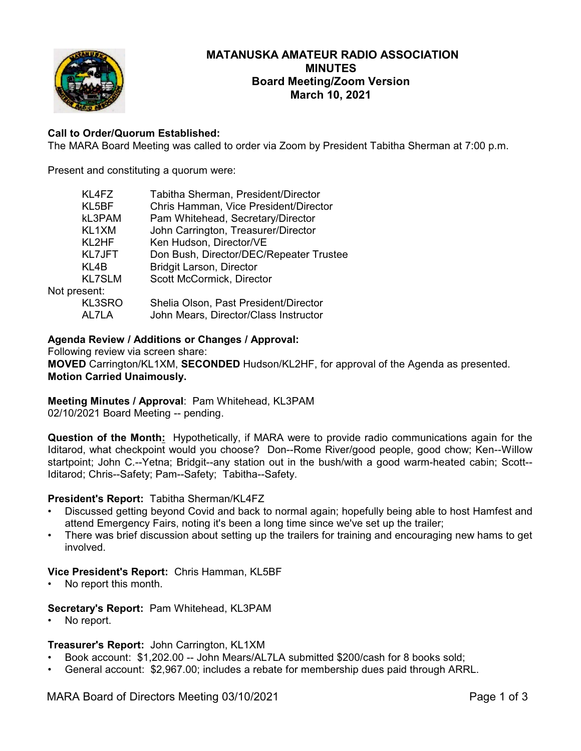

# **MATANUSKA AMATEUR RADIO ASSOCIATION MINUTES Board Meeting/Zoom Version March 10, 2021**

# **Call to Order/Quorum Established:**

The MARA Board Meeting was called to order via Zoom by President Tabitha Sherman at 7:00 p.m.

Present and constituting a quorum were:

| Tabitha Sherman, President/Director     |
|-----------------------------------------|
| Chris Hamman, Vice President/Director   |
| Pam Whitehead, Secretary/Director       |
| John Carrington, Treasurer/Director     |
| Ken Hudson, Director/VE                 |
| Don Bush, Director/DEC/Repeater Trustee |
| <b>Bridgit Larson, Director</b>         |
| Scott McCormick, Director               |
|                                         |
| Shelia Olson, Past President/Director   |
| John Mears, Director/Class Instructor   |
|                                         |

### **Agenda Review / Additions or Changes / Approval:**

Following review via screen share: **MOVED** Carrington/KL1XM, **SECONDED** Hudson/KL2HF, for approval of the Agenda as presented. **Motion Carried Unaimously.**

**Meeting Minutes / Approval**: Pam Whitehead, KL3PAM 02/10/2021 Board Meeting -- pending.

**Question of the Month:** Hypothetically, if MARA were to provide radio communications again for the Iditarod, what checkpoint would you choose? Don--Rome River/good people, good chow; Ken--Willow startpoint; John C.--Yetna; Bridgit--any station out in the bush/with a good warm-heated cabin; Scott-- Iditarod; Chris--Safety; Pam--Safety; Tabitha--Safety.

#### **President's Report:** Tabitha Sherman/KL4FZ

- Discussed getting beyond Covid and back to normal again; hopefully being able to host Hamfest and attend Emergency Fairs, noting it's been a long time since we've set up the trailer;
- There was brief discussion about setting up the trailers for training and encouraging new hams to get involved.

#### **Vice President's Report:** Chris Hamman, KL5BF

• No report this month.

#### **Secretary's Report:** Pam Whitehead, KL3PAM

No report.

#### **Treasurer's Report:** John Carrington, KL1XM

- Book account: \$1,202.00 -- John Mears/AL7LA submitted \$200/cash for 8 books sold;
- General account: \$2,967.00; includes a rebate for membership dues paid through ARRL.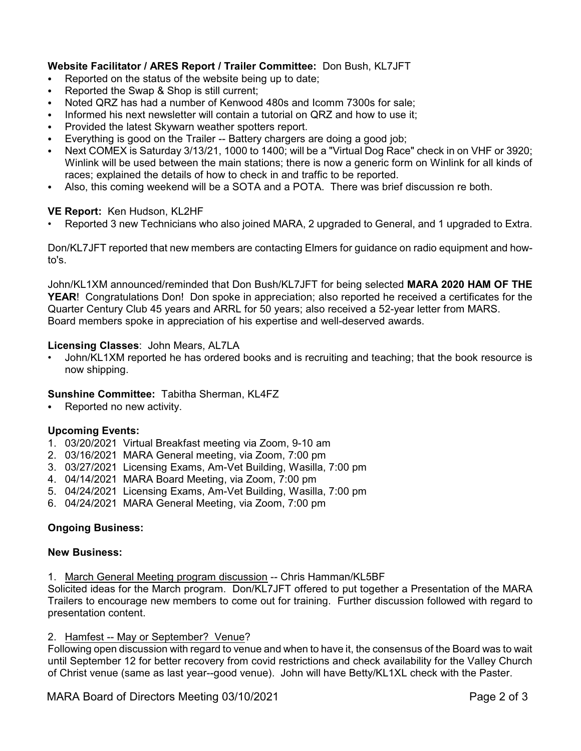# **Website Facilitator / ARES Report / Trailer Committee:** Don Bush, KL7JFT

- Reported on the status of the website being up to date;
- Reported the Swap & Shop is still current;
- Noted QRZ has had a number of Kenwood 480s and Icomm 7300s for sale:
- Informed his next newsletter will contain a tutorial on QRZ and how to use it;
- Provided the latest Skywarn weather spotters report.
- Everything is good on the Trailer -- Battery chargers are doing a good job;
- C Next COMEX is Saturday 3/13/21, 1000 to 1400; will be a "Virtual Dog Race" check in on VHF or 3920; Winlink will be used between the main stations; there is now a generic form on Winlink for all kinds of races; explained the details of how to check in and traffic to be reported.
- Also, this coming weekend will be a SOTA and a POTA. There was brief discussion re both.

### **VE Report:** Ken Hudson, KL2HF

• Reported 3 new Technicians who also joined MARA, 2 upgraded to General, and 1 upgraded to Extra.

Don/KL7JFT reported that new members are contacting Elmers for guidance on radio equipment and howto's.

John/KL1XM announced/reminded that Don Bush/KL7JFT for being selected **MARA 2020 HAM OF THE YEAR**! Congratulations Don! Don spoke in appreciation; also reported he received a certificates for the Quarter Century Club 45 years and ARRL for 50 years; also received a 52-year letter from MARS. Board members spoke in appreciation of his expertise and well-deserved awards.

#### **Licensing Classes**: John Mears, AL7LA

• John/KL1XM reported he has ordered books and is recruiting and teaching; that the book resource is now shipping.

#### **Sunshine Committee:** Tabitha Sherman, KL4FZ

• Reported no new activity.

# **Upcoming Events:**

- 1. 03/20/2021 Virtual Breakfast meeting via Zoom, 9-10 am
- 2. 03/16/2021 MARA General meeting, via Zoom, 7:00 pm
- 3. 03/27/2021 Licensing Exams, Am-Vet Building, Wasilla, 7:00 pm
- 4. 04/14/2021 MARA Board Meeting, via Zoom, 7:00 pm
- 5. 04/24/2021 Licensing Exams, Am-Vet Building, Wasilla, 7:00 pm
- 6. 04/24/2021 MARA General Meeting, via Zoom, 7:00 pm

# **Ongoing Business:**

#### **New Business:**

1. March General Meeting program discussion -- Chris Hamman/KL5BF

Solicited ideas for the March program. Don/KL7JFT offered to put together a Presentation of the MARA Trailers to encourage new members to come out for training. Further discussion followed with regard to presentation content.

#### 2. Hamfest -- May or September? Venue?

Following open discussion with regard to venue and when to have it, the consensus of the Board was to wait until September 12 for better recovery from covid restrictions and check availability for the Valley Church of Christ venue (same as last year--good venue). John will have Betty/KL1XL check with the Paster.

MARA Board of Directors Meeting 03/10/2021 **Page 2 of 3**